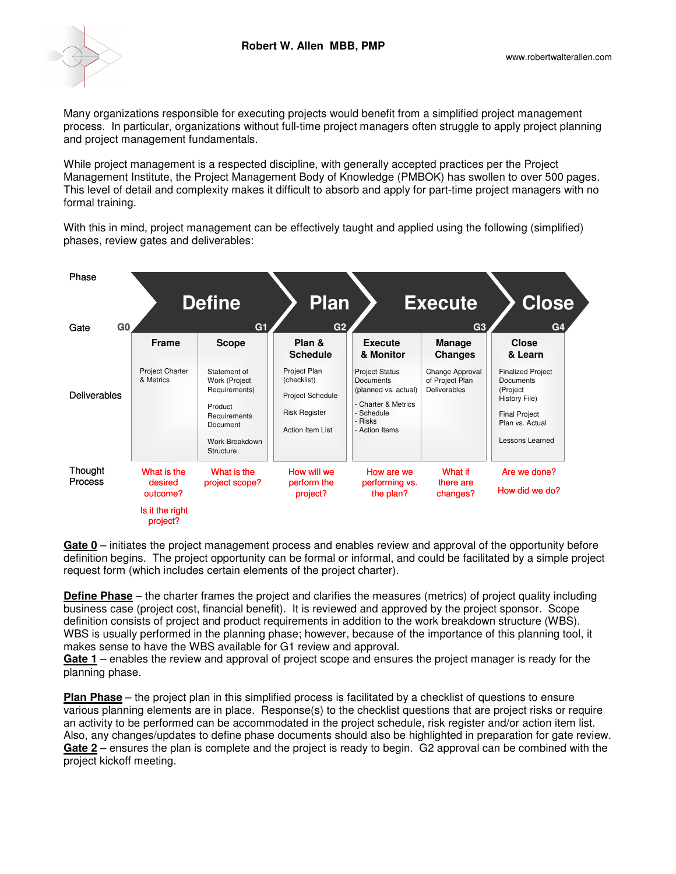

Many organizations responsible for executing projects would benefit from a simplified project management process. In particular, organizations without full-time project managers often struggle to apply project planning and project management fundamentals.

While project management is a respected discipline, with generally accepted practices per the Project Management Institute, the Project Management Body of Knowledge (PMBOK) has swollen to over 500 pages. This level of detail and complexity makes it difficult to absorb and apply for part-time project managers with no formal training.

With this in mind, project management can be effectively taught and applied using the following (simplified) phases, review gates and deliverables:



**Gate 0** – initiates the project management process and enables review and approval of the opportunity before definition begins. The project opportunity can be formal or informal, and could be facilitated by a simple project request form (which includes certain elements of the project charter).

**Define Phase** – the charter frames the project and clarifies the measures (metrics) of project quality including business case (project cost, financial benefit). It is reviewed and approved by the project sponsor. Scope definition consists of project and product requirements in addition to the work breakdown structure (WBS). WBS is usually performed in the planning phase; however, because of the importance of this planning tool, it makes sense to have the WBS available for G1 review and approval.

**Gate 1** – enables the review and approval of project scope and ensures the project manager is ready for the planning phase.

**Plan Phase** – the project plan in this simplified process is facilitated by a checklist of questions to ensure various planning elements are in place. Response(s) to the checklist questions that are project risks or require an activity to be performed can be accommodated in the project schedule, risk register and/or action item list. Also, any changes/updates to define phase documents should also be highlighted in preparation for gate review. **Gate 2** – ensures the plan is complete and the project is ready to begin. G2 approval can be combined with the project kickoff meeting.